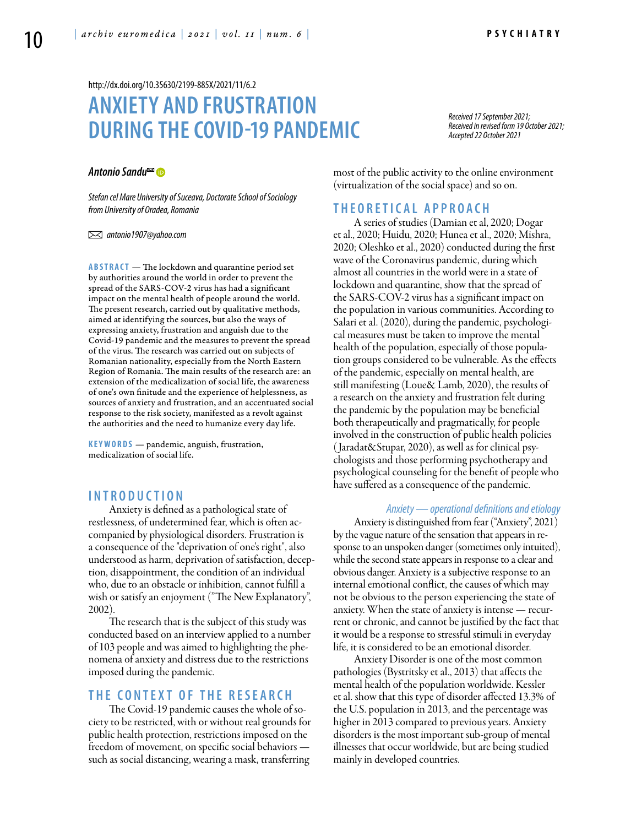<http://dx.doi.org/10.35630/2199-885X/2021/11/6.2>

# **Anxiety and Frustration during the Covid-19 Pandemic**

*Received 17 September 2021; Received in revised form 19 October 2021; Accepted 22 October 2021*

## *[Antonio Sandu](http://orcid.org/0000-0001-6605-3453)*

*Stefan cel Mare University of Suceava, Doctorate School of Sociology from University of Oradea, Romania*

 *antonio1907@yahoo.com*

**ABSTRACT** — The lockdown and quarantine period set by authorities around the world in order to prevent the spread of the SARS-COV-2 virus has had a significant impact on the mental health of people around the world. The present research, carried out by qualitative methods, aimed at identifying the sources, but also the ways of expressing anxiety, frustration and anguish due to the Covid-19 pandemic and the measures to prevent the spread of the virus. The research was carried out on subjects of Romanian nationality, especially from the North Eastern Region of Romania. The main results of the research are: an extension of the medicalization of social life, the awareness of one's own finitude and the experience of helplessness, as sources of anxiety and frustration, and an accentuated social response to the risk society, manifested as a revolt against the authorities and the need to humanize every day life.

KEYWORDS — pandemic, anguish, frustration, medicalization of social life.

## **I n t r o d uct i o n**

Anxiety is defined as a pathological state of restlessness, of undetermined fear, which is often accompanied by physiological disorders. Frustration is a consequence of the "deprivation of one's right", also understood as harm, deprivation of satisfaction, deception, disappointment, the condition of an individual who, due to an obstacle or inhibition, cannot fulfill a wish or satisfy an enjoyment ("The New Explanatory", 2002).

The research that is the subject of this study was conducted based on an interview applied to a number of 103 people and was aimed to highlighting the phenomena of anxiety and distress due to the restrictions imposed during the pandemic.

# **THE CONTEXT OF THE RESEARCH**

The Covid-19 pandemic causes the whole of society to be restricted, with or without real grounds for public health protection, restrictions imposed on the freedom of movement, on specific social behaviors such as social distancing, wearing a mask, transferring

most of the public activity to the online environment (virtualization of the social space) and so on.

## **Th e o r e t ic a l a pp r o a ch**

A series of studies (Damian et al, 2020; Dogar et al., 2020; Huidu, 2020; Hunea et al., 2020; Mishra, 2020; Oleshko et al., 2020) conducted during the first wave of the Coronavirus pandemic, during which almost all countries in the world were in a state of lockdown and quarantine, show that the spread of the SARS-COV-2 virus has a significant impact on the population in various communities. According to Salari et al. (2020), during the pandemic, psychological measures must be taken to improve the mental health of the population, especially of those population groups considered to be vulnerable. As the effects of the pandemic, especially on mental health, are still manifesting (Loue& Lamb, 2020), the results of a research on the anxiety and frustration felt during the pandemic by the population may be beneficial both therapeutically and pragmatically, for people involved in the construction of public health policies ( Jaradat&Stupar, 2020), as well as for clinical psychologists and those performing psychotherapy and psychological counseling for the benefit of people who have suffered as a consequence of the pandemic.

#### *Anxiety — operational definitions and etiology*

Anxiety is distinguished from fear ("Anxiety", 2021) by the vague nature of the sensation that appears in response to an unspoken danger (sometimes only intuited), while the second state appears in response to a clear and obvious danger. Anxiety is a subjective response to an internal emotional conflict, the causes of which may not be obvious to the person experiencing the state of anxiety. When the state of anxiety is intense — recurrent or chronic, and cannot be justified by the fact that it would be a response to stressful stimuli in everyday life, it is considered to be an emotional disorder.

Anxiety Disorder is one of the most common pathologies (Bystritsky et al., 2013) that affects the mental health of the population worldwide. Kessler et al. show that this type of disorder affected 13.3% of the U.S. population in 2013, and the percentage was higher in 2013 compared to previous years. Anxiety disorders is the most important sub-group of mental illnesses that occur worldwide, but are being studied mainly in developed countries.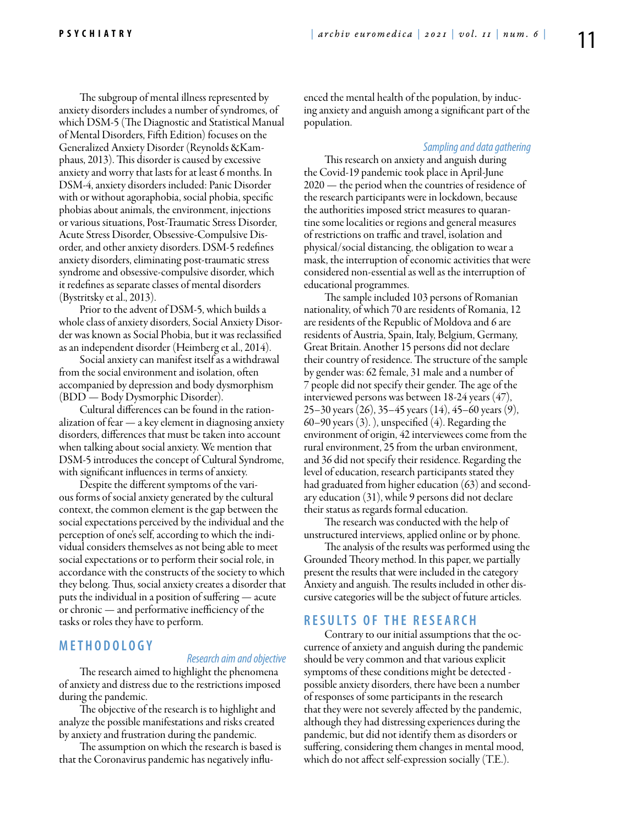The subgroup of mental illness represented by anxiety disorders includes a number of syndromes, of which DSM-5 (The Diagnostic and Statistical Manual of Mental Disorders, Fifth Edition) focuses on the Generalized Anxiety Disorder (Reynolds &Kamphaus, 2013). This disorder is caused by excessive anxiety and worry that lasts for at least 6 months. In DSM-4, anxiety disorders included: Panic Disorder with or without agoraphobia, social phobia, specific phobias about animals, the environment, injections or various situations, Post-Traumatic Stress Disorder, Acute Stress Disorder, Obsessive-Compulsive Disorder, and other anxiety disorders. DSM-5 redefines anxiety disorders, eliminating post-traumatic stress syndrome and obsessive-compulsive disorder, which it redefines as separate classes of mental disorders (Bystritsky et al., 2013).

Prior to the advent of DSM-5, which builds a whole class of anxiety disorders, Social Anxiety Disorder was known as Social Phobia, but it was reclassified as an independent disorder (Heimberg et al., 2014).

Social anxiety can manifest itself as a withdrawal from the social environment and isolation, often accompanied by depression and body dysmorphism (BDD — Body Dysmorphic Disorder).

Cultural differences can be found in the rationalization of fear — a key element in diagnosing anxiety disorders, differences that must be taken into account when talking about social anxiety. We mention that DSM-5 introduces the concept of Cultural Syndrome, with significant influences in terms of anxiety.

Despite the different symptoms of the various forms of social anxiety generated by the cultural context, the common element is the gap between the social expectations perceived by the individual and the perception of one's self, according to which the individual considers themselves as not being able to meet social expectations or to perform their social role, in accordance with the constructs of the society to which they belong. Thus, social anxiety creates a disorder that puts the individual in a position of suffering — acute or chronic — and performative inefficiency of the tasks or roles they have to perform.

# **M e t h o d o l o g y**

#### *Research aim and objective*

The research aimed to highlight the phenomena of anxiety and distress due to the restrictions imposed during the pandemic.

The objective of the research is to highlight and analyze the possible manifestations and risks created by anxiety and frustration during the pandemic.

The assumption on which the research is based is that the Coronavirus pandemic has negatively influenced the mental health of the population, by inducing anxiety and anguish among a significant part of the population.

## *Sampling and data gathering*

This research on anxiety and anguish during the Covid-19 pandemic took place in April-June 2020 — the period when the countries of residence of the research participants were in lockdown, because the authorities imposed strict measures to quarantine some localities or regions and general measures of restrictions on traffic and travel, isolation and physical/social distancing, the obligation to wear a mask, the interruption of economic activities that were considered non-essential as well as the interruption of educational programmes.

The sample included 103 persons of Romanian nationality, of which 70 are residents of Romania, 12 are residents of the Republic of Moldova and 6 are residents of Austria, Spain, Italy, Belgium, Germany, Great Britain. Another 15 persons did not declare their country of residence. The structure of the sample by gender was: 62 female, 31 male and a number of 7 people did not specify their gender. The age of the interviewed persons was between 18-24 years (47), 25–30 years (26), 35–45 years (14), 45–60 years (9), 60–90 years  $(3)$ .), unspecified  $(4)$ . Regarding the environment of origin, 42 interviewees come from the rural environment, 25 from the urban environment, and 36 did not specify their residence. Regarding the level of education, research participants stated they had graduated from higher education (63) and secondary education (31), while 9 persons did not declare their status as regards formal education.

The research was conducted with the help of unstructured interviews, applied online or by phone.

The analysis of the results was performed using the Grounded Theory method. In this paper, we partially present the results that were included in the category Anxiety and anguish. The results included in other discursive categories will be the subject of future articles.

# **R e s u l t s o f t h e r e s e a r ch**

Contrary to our initial assumptions that the occurrence of anxiety and anguish during the pandemic should be very common and that various explicit symptoms of these conditions might be detected possible anxiety disorders, there have been a number of responses of some participants in the research that they were not severely affected by the pandemic, although they had distressing experiences during the pandemic, but did not identify them as disorders or suffering, considering them changes in mental mood, which do not affect self-expression socially (T.E.).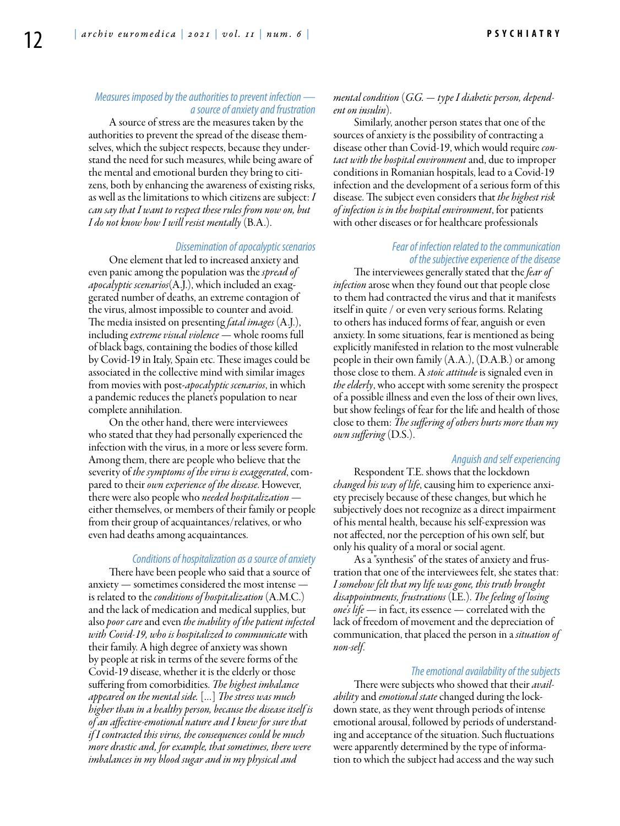# *Measures imposed by the authorities to prevent infection a source of anxiety and frustration*

A source of stress are the measures taken by the authorities to prevent the spread of the disease themselves, which the subject respects, because they understand the need for such measures, while being aware of the mental and emotional burden they bring to citizens, both by enhancing the awareness of existing risks, as well as the limitations to which citizens are subject: *I can say that I want to respect these rules from now on, but I do not know how I will resist mentally* (B.A.).

#### *Dissemination of apocalyptic scenarios*

One element that led to increased anxiety and even panic among the population was the *spread of apocalyptic scenarios*(A.J.), which included an exaggerated number of deaths, an extreme contagion of the virus, almost impossible to counter and avoid. The media insisted on presenting *fatal images* (A.J.), including *extreme visual violence* — whole rooms full of black bags, containing the bodies of those killed by Covid-19 in Italy, Spain etc. These images could be associated in the collective mind with similar images from movies with post-*apocalyptic scenarios*, in which a pandemic reduces the planet's population to near complete annihilation.

On the other hand, there were interviewees who stated that they had personally experienced the infection with the virus, in a more or less severe form. Among them, there are people who believe that the severity of *the symptoms of the virus is exaggerated*, compared to their *own experience of the disease*. However, there were also people who *needed hospitalization* either themselves, or members of their family or people from their group of acquaintances/relatives, or who even had deaths among acquaintances.

#### *Conditions of hospitalization as a source of anxiety*

There have been people who said that a source of anxiety — sometimes considered the most intense is related to the *conditions of hospitalization* (A.M.C.) and the lack of medication and medical supplies, but also *poor care* and even *the inability of the patient infected with Covid-19, who is hospitalized to communicate* with their family. A high degree of anxiety was shown by people at risk in terms of the severe forms of the Covid-19 disease, whether it is the elderly or those suffering from comorbidities. *The highest imbalance appeared on the mental side.* […] *The stress was much higher than in a healthy person, because the disease itself is of an affective-emotional nature and I knew for sure that if I contracted this virus, the consequences could be much more drastic and, for example, that sometimes, there were imbalances in my blood sugar and in my physical and* 

## *mental condition* (*G.G. — type I diabetic person, dependent on insulin*).

Similarly, another person states that one of the sources of anxiety is the possibility of contracting a disease other than Covid-19, which would require *contact with the hospital environment* and, due to improper conditions in Romanian hospitals, lead to a Covid-19 infection and the development of a serious form of this disease. The subject even considers that *the highest risk of infection is in the hospital environment*, for patients with other diseases or for healthcare professionals

## *Fear of infection related to the communication of the subjective experience of the disease*

The interviewees generally stated that the *fear of infection* arose when they found out that people close to them had contracted the virus and that it manifests itself in quite / or even very serious forms. Relating to others has induced forms of fear, anguish or even anxiety. In some situations, fear is mentioned as being explicitly manifested in relation to the most vulnerable people in their own family (A.A.), (D.A.B.) or among those close to them. A *stoic attitude* is signaled even in *the elderly*, who accept with some serenity the prospect of a possible illness and even the loss of their own lives, but show feelings of fear for the life and health of those close to them: *The suffering of others hurts more than my own suffering* (D.S.).

#### *Anguish and self experiencing*

Respondent T.E. shows that the lockdown *changed his way of life*, causing him to experience anxiety precisely because of these changes, but which he subjectively does not recognize as a direct impairment of his mental health, because his self-expression was not affected, nor the perception of his own self, but only his quality of a moral or social agent.

As a "synthesis" of the states of anxiety and frustration that one of the interviewees felt, she states that: *I somehow felt that my life was gone, this truth brought disappointments, frustrations* (I.E.). *The feeling of losing one's life* — in fact, its essence — correlated with the lack of freedom of movement and the depreciation of communication, that placed the person in a *situation of non-self*.

#### *The emotional availability of the subjects*

There were subjects who showed that their *availability* and *emotional state* changed during the lockdown state, as they went through periods of intense emotional arousal, followed by periods of understanding and acceptance of the situation. Such fluctuations were apparently determined by the type of information to which the subject had access and the way such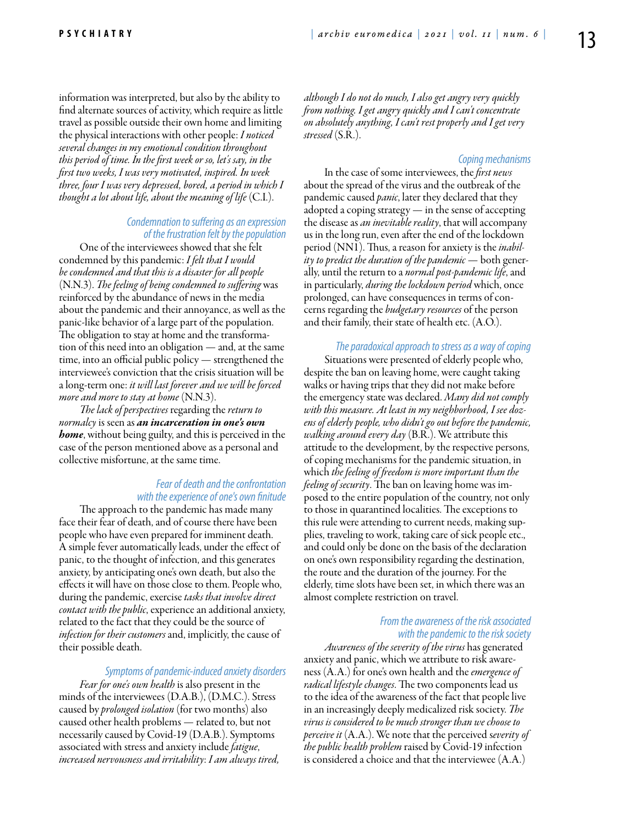information was interpreted, but also by the ability to find alternate sources of activity, which require as little travel as possible outside their own home and limiting the physical interactions with other people: *I noticed several changes in my emotional condition throughout this period of time. In the first week or so, let's say, in the first two weeks, I was very motivated, inspired. In week three, four I was very depressed, bored, a period in which I thought a lot about life, about the meaning of life* (C.I.).

#### *Condemnation to suffering as an expression of the frustration felt by the population*

One of the interviewees showed that she felt condemned by this pandemic: *I felt that I would be condemned and that this is a disaster for all people*  (N.N.3). *The feeling of being condemned to suffering* was reinforced by the abundance of news in the media about the pandemic and their annoyance, as well as the panic-like behavior of a large part of the population. The obligation to stay at home and the transformation of this need into an obligation — and, at the same time, into an official public policy — strengthened the interviewee's conviction that the crisis situation will be a long-term one: *it will last forever and we will be forced more and more to stay at home* (N.N.3).

*The lack of perspectives* regarding the *return to normalcy* is seen as *an incarceration in one's own home*, without being guilty, and this is perceived in the case of the person mentioned above as a personal and collective misfortune, at the same time.

## *Fear of death and the confrontation with the experience of one's own finitude*

The approach to the pandemic has made many face their fear of death, and of course there have been people who have even prepared for imminent death. A simple fever automatically leads, under the effect of panic, to the thought of infection, and this generates anxiety, by anticipating one's own death, but also the effects it will have on those close to them. People who, during the pandemic, exercise *tasks that involve direct contact with the public*, experience an additional anxiety, related to the fact that they could be the source of *infection for their customers* and, implicitly, the cause of their possible death.

*Symptoms of pandemic-induced anxiety disorders*

*Fear for one's own health* is also present in the minds of the interviewees (D.A.B.), (D.M.C.). Stress caused by *prolonged isolation* (for two months) also caused other health problems — related to, but not necessarily caused by Covid-19 (D.A.B.). Symptoms associated with stress and anxiety include *fatigue*, *increased nervousness and irritability*: *I am always tired,* 

*although I do not do much, I also get angry very quickly from nothing. I get angry quickly and I can't concentrate on absolutely anything, I can't rest properly and I get very stressed* (S.R.).

## *Coping mechanisms*

In the case of some interviewees, the *first news* about the spread of the virus and the outbreak of the pandemic caused *panic*, later they declared that they adopted a coping strategy — in the sense of accepting the disease as *an inevitable reality*, that will accompany us in the long run, even after the end of the lockdown period (NN1). Thus, a reason for anxiety is the *inability to predict the duration of the pandemic* — both generally, until the return to a *normal post-pandemic life*, and in particularly, *during the lockdown period* which, once prolonged, can have consequences in terms of concerns regarding the *budgetary resources* of the person and their family, their state of health etc. (A.O.).

## *The paradoxical approach to stress as a way of coping*

Situations were presented of elderly people who, despite the ban on leaving home, were caught taking walks or having trips that they did not make before the emergency state was declared. *Many did not comply with this measure. At least in my neighborhood, I see dozens of elderly people, who didn't go out before the pandemic, walking around every day* (B.R.). We attribute this attitude to the development, by the respective persons, of coping mechanisms for the pandemic situation, in which *the feeling of freedom is more important than the feeling of security*. The ban on leaving home was imposed to the entire population of the country, not only to those in quarantined localities. The exceptions to this rule were attending to current needs, making supplies, traveling to work, taking care of sick people etc., and could only be done on the basis of the declaration on one's own responsibility regarding the destination, the route and the duration of the journey. For the elderly, time slots have been set, in which there was an almost complete restriction on travel.

# *From the awareness of the risk associated with the pandemic to the risk society*

*Awareness of the severity of the virus* has generated anxiety and panic, which we attribute to risk awareness (A.A.) for one's own health and the *emergence of radical lifestyle changes*. The two components lead us to the idea of the awareness of the fact that people live in an increasingly deeply medicalized risk society. *The virus is considered to be much stronger than we choose to perceive it* (A.A.). We note that the perceived s*everity of the public health problem* raised by Covid-19 infection is considered a choice and that the interviewee (A.A.)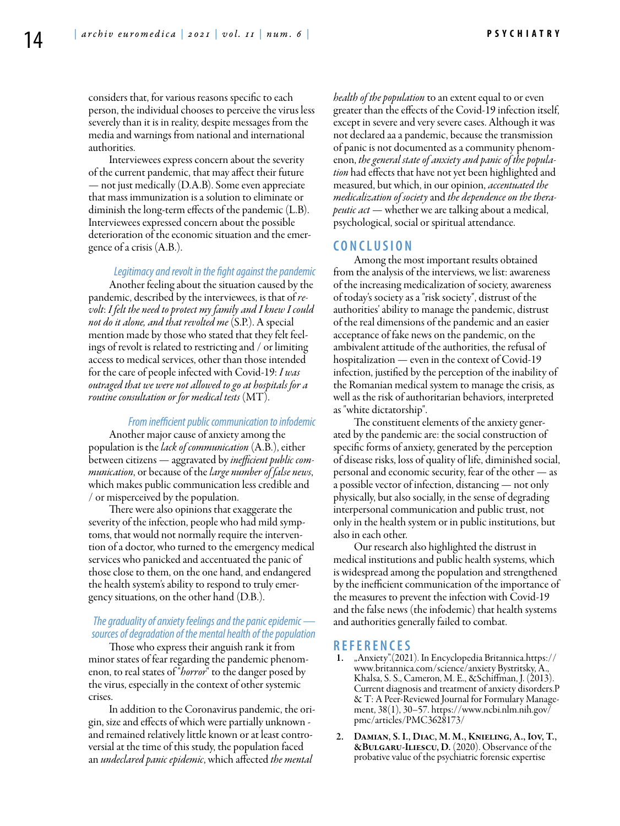considers that, for various reasons specific to each person, the individual chooses to perceive the virus less severely than it is in reality, despite messages from the media and warnings from national and international authorities.

Interviewees express concern about the severity of the current pandemic, that may affect their future — not just medically (D.A.B). Some even appreciate that mass immunization is a solution to eliminate or diminish the long-term effects of the pandemic (L.B). Interviewees expressed concern about the possible deterioration of the economic situation and the emergence of a crisis (A.B.).

#### *Legitimacy and revolt in the fight against the pandemic*

Another feeling about the situation caused by the pandemic, described by the interviewees, is that of *revolt*: *I felt the need to protect my family and I knew I could not do it alone, and that revolted me* (S.P.). A special mention made by those who stated that they felt feelings of revolt is related to restricting and / or limiting access to medical services, other than those intended for the care of people infected with Covid-19: *I was outraged that we were not allowed to go at hospitals for a routine consultation or for medical tests* (MT).

#### *From inefficient public communication to infodemic*

Another major cause of anxiety among the population is the *lack of communication* (A.B.), either between citizens — aggravated by *inefficient public communication*, or because of the *large number of false news*, which makes public communication less credible and / or misperceived by the population.

There were also opinions that exaggerate the severity of the infection, people who had mild symptoms, that would not normally require the intervention of a doctor, who turned to the emergency medical services who panicked and accentuated the panic of those close to them, on the one hand, and endangered the health system's ability to respond to truly emergency situations, on the other hand (D.B.).

# *The graduality of anxiety feelings and the panic epidemic sources of degradation of the mental health of the population*

Those who express their anguish rank it from minor states of fear regarding the pandemic phenomenon, to real states of "*horror*" to the danger posed by the virus, especially in the context of other systemic crises.

In addition to the Coronavirus pandemic, the origin, size and effects of which were partially unknown and remained relatively little known or at least controversial at the time of this study, the population faced an *undeclared panic epidemic*, which affected *the mental* 

*health of the population* to an extent equal to or even greater than the effects of the Covid-19 infection itself, except in severe and very severe cases. Although it was not declared aa a pandemic, because the transmission of panic is not documented as a community phenomenon, *the general state of anxiety and panic of the population* had effects that have not yet been highlighted and measured, but which, in our opinion, *accentuated the medicalization of society* and *the dependence on the therapeutic act* — whether we are talking about a medical, psychological, social or spiritual attendance.

#### **C o n cl u s i o n**

Among the most important results obtained from the analysis of the interviews, we list: awareness of the increasing medicalization of society, awareness of today's society as a "risk society", distrust of the authorities' ability to manage the pandemic, distrust of the real dimensions of the pandemic and an easier acceptance of fake news on the pandemic, on the ambivalent attitude of the authorities, the refusal of hospitalization — even in the context of Covid-19 infection, justified by the perception of the inability of the Romanian medical system to manage the crisis, as well as the risk of authoritarian behaviors, interpreted as "white dictatorship".

The constituent elements of the anxiety generated by the pandemic are: the social construction of specific forms of anxiety, generated by the perception of disease risks, loss of quality of life, diminished social, personal and economic security, fear of the other — as a possible vector of infection, distancing — not only physically, but also socially, in the sense of degrading interpersonal communication and public trust, not only in the health system or in public institutions, but also in each other.

Our research also highlighted the distrust in medical institutions and public health systems, which is widespread among the population and strengthened by the inefficient communication of the importance of the measures to prevent the infection with Covid-19 and the false news (the infodemic) that health systems and authorities generally failed to combat.

## **R efe r e n ce s**

- 1. "Anxiety".(2021). In Encyclopedia Britannica.https:// www.britannica.com/science/anxiety Bystritsky, A., Khalsa, S. S., Cameron, M. E., &Schiffman, J. (2013). Current diagnosis and treatment of anxiety disorders.P & T: A Peer-Reviewed Journal for Formulary Management, 38(1), 30–57. https://www.ncbi.nlm.nih.gov/ pmc/articles/PMC3628173/
- 2. Damian, S. I., Diac, M. M., Knieling, A., Iov, T., &Bulgaru-Iliescu, D. (2020). Observance of the probative value of the psychiatric forensic expertise